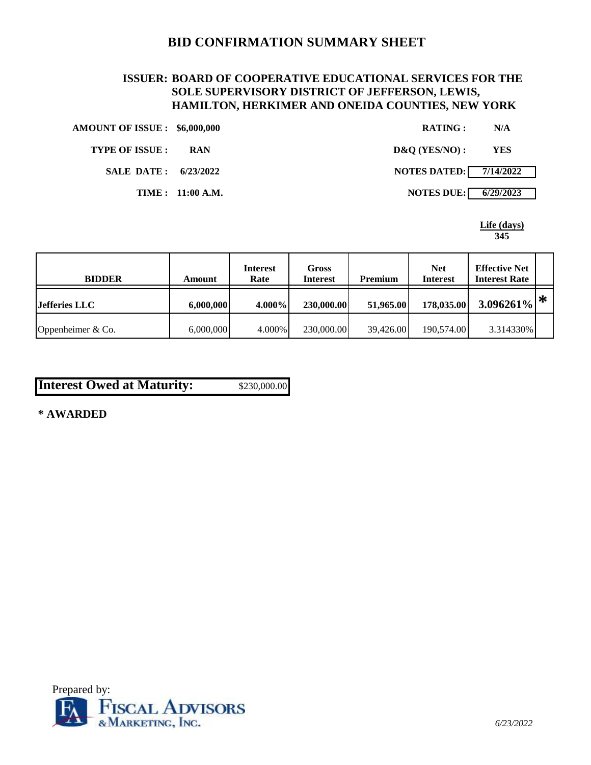# **BID CONFIRMATION SUMMARY SHEET**

# **ISSUER: BOARD OF COOPERATIVE EDUCATIONAL SERVICES FOR THE SOLE SUPERVISORY DISTRICT OF JEFFERSON, LEWIS, HAMILTON, HERKIMER AND ONEIDA COUNTIES, NEW YORK**

| <b>AMOUNT OF ISSUE : \$6,000,000</b> |                  | <b>RATING:</b>                | N/A        |
|--------------------------------------|------------------|-------------------------------|------------|
| <b>TYPE OF ISSUE :</b>               | <b>RAN</b>       | $D&O(YES/NO)$ :               | <b>YES</b> |
| SALE DATE: 6/23/2022                 |                  | <b>NOTES DATED:</b> 7/14/2022 |            |
|                                      | TIME: 11:00 A.M. | <b>NOTES DUE: 6/29/2023</b>   |            |

**Life (days) 345**

| <b>BIDDER</b>        | Amount    | <b>Interest</b><br>Rate | Gross<br><b>Interest</b> | <b>Premium</b> | <b>Net</b><br><b>Interest</b> | <b>Effective Net</b><br><b>Interest Rate</b> |   |
|----------------------|-----------|-------------------------|--------------------------|----------------|-------------------------------|----------------------------------------------|---|
| <b>Jefferies LLC</b> | 6,000,000 | $4.000\%$               | 230,000.00               | 51,965.00      | 178,035.00                    | 3.096261%                                    | ∗ |
| Oppenheimer $& Co.$  | 6,000,000 | 4.000%                  | 230,000.00               | 39.426.00      | 190,574.00                    | 3.314330%                                    |   |

| <b>Interest Owed at Maturity:</b> | \$230,000.00 |
|-----------------------------------|--------------|
|-----------------------------------|--------------|

**\* AWARDED**